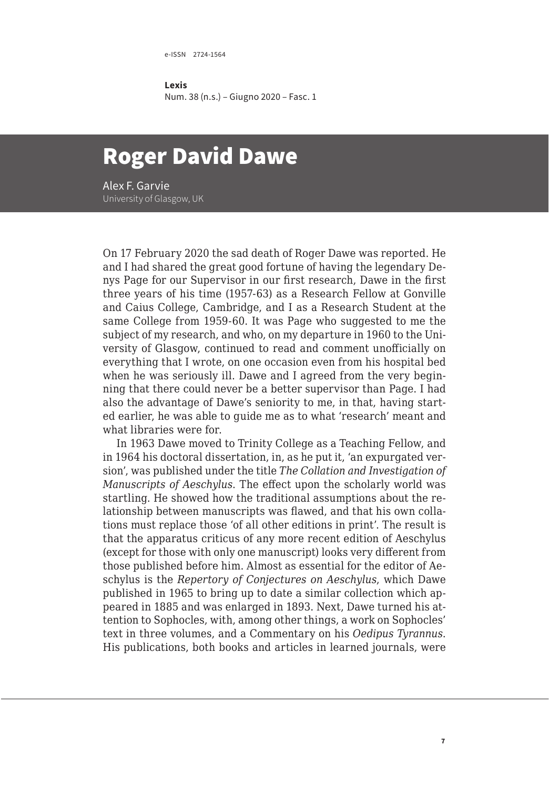e-ISSN 2724-1564

**Lexis** Num. 38 (n.s.) – Giugno 2020 – Fasc. 1

## Roger David Dawe

Alex F. Garvie University of Glasgow, UK

On 17 February 2020 the sad death of Roger Dawe was reported. He and I had shared the great good fortune of having the legendary Denys Page for our Supervisor in our first research, Dawe in the first three years of his time (1957-63) as a Research Fellow at Gonville and Caius College, Cambridge, and I as a Research Student at the same College from 1959-60. It was Page who suggested to me the subject of my research, and who, on my departure in 1960 to the University of Glasgow, continued to read and comment unofficially on everything that I wrote, on one occasion even from his hospital bed when he was seriously ill. Dawe and I agreed from the very beginning that there could never be a better supervisor than Page. I had also the advantage of Dawe's seniority to me, in that, having started earlier, he was able to guide me as to what 'research' meant and what libraries were for.

In 1963 Dawe moved to Trinity College as a Teaching Fellow, and in 1964 his doctoral dissertation, in, as he put it, 'an expurgated version', was published under the title *The Collation and Investigation of Manuscripts of Aeschylus*. The effect upon the scholarly world was startling. He showed how the traditional assumptions about the relationship between manuscripts was flawed, and that his own collations must replace those 'of all other editions in print'. The result is that the apparatus criticus of any more recent edition of Aeschylus (except for those with only one manuscript) looks very different from those published before him. Almost as essential for the editor of Aeschylus is the *Repertory of Conjectures on Aeschylus*, which Dawe published in 1965 to bring up to date a similar collection which appeared in 1885 and was enlarged in 1893. Next, Dawe turned his attention to Sophocles, with, among other things, a work on Sophocles' text in three volumes, and a Commentary on his *Oedipus Tyrannus*. His publications, both books and articles in learned journals, were